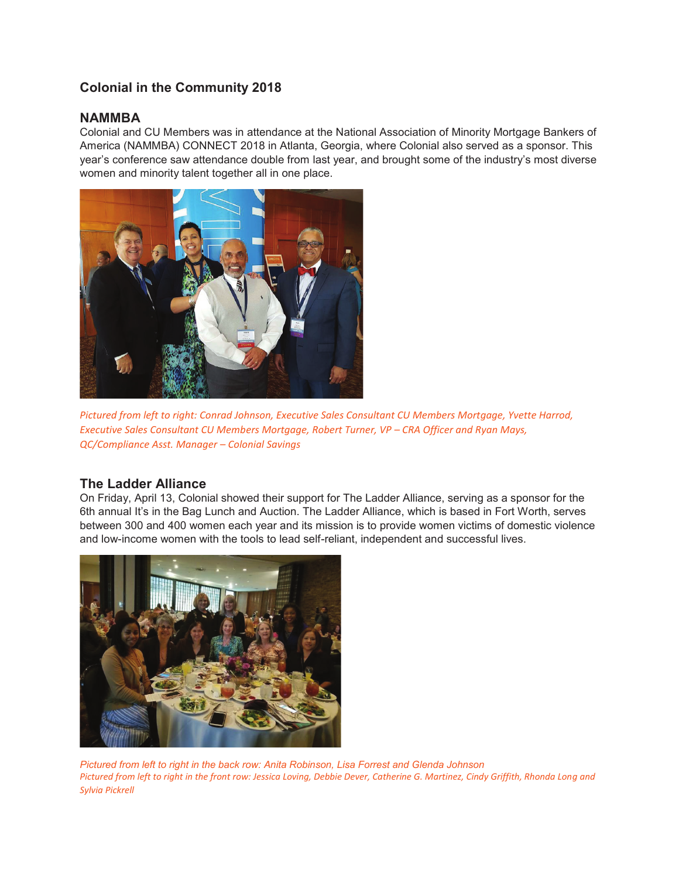# **Colonial in the Community 2018**

## **NAMMBA**

Colonial and CU Members was in attendance at the National Association of Minority Mortgage Bankers of America (NAMMBA) CONNECT 2018 in Atlanta, Georgia, where Colonial also served as a sponsor. This year's conference saw attendance double from last year, and brought some of the industry's most diverse women and minority talent together all in one place.



*Pictured from left to right: Conrad Johnson, Executive Sales Consultant CU Members Mortgage, Yvette Harrod, Executive Sales Consultant CU Members Mortgage, Robert Turner, VP – CRA Officer and Ryan Mays, QC/Compliance Asst. Manager – Colonial Savings* 

#### **The Ladder Alliance**

On Friday, April 13, Colonial showed their support for The Ladder Alliance, serving as a sponsor for the 6th annual It's in the Bag Lunch and Auction. The Ladder Alliance, which is based in Fort Worth, serves between 300 and 400 women each year and its mission is to provide women victims of domestic violence and low-income women with the tools to lead self-reliant, independent and successful lives.



*Pictured from left to right in the back row: Anita Robinson, Lisa Forrest and Glenda Johnson Pictured from left to right in the front row: Jessica Loving, Debbie Dever, Catherine G. Martinez, Cindy Griffith, Rhonda Long and Sylvia Pickrell*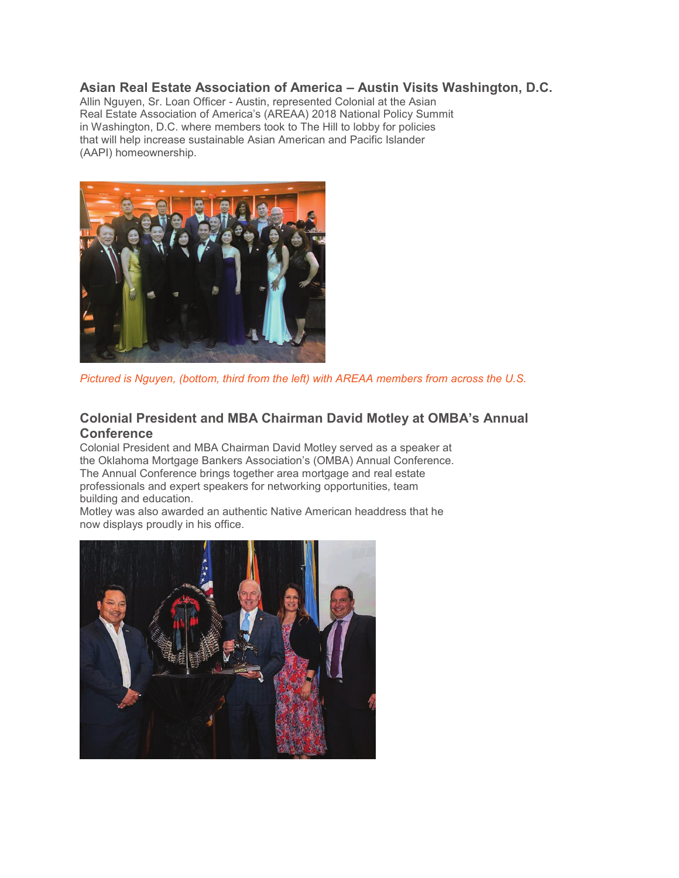### **Asian Real Estate Association of America – Austin Visits Washington, D.C.**

Allin Nguyen, Sr. Loan Officer - Austin, represented Colonial at the Asian Real Estate Association of America's (AREAA) 2018 National Policy Summit in Washington, D.C. where members took to The Hill to lobby for policies that will help increase sustainable Asian American and Pacific Islander (AAPI) homeownership.



*Pictured is Nguyen, (bottom, third from the left) with AREAA members from across the U.S.* 

## **Colonial President and MBA Chairman David Motley at OMBA's Annual Conference**

Colonial President and MBA Chairman David Motley served as a speaker at the Oklahoma Mortgage Bankers Association's (OMBA) Annual Conference. The Annual Conference brings together area mortgage and real estate professionals and expert speakers for networking opportunities, team building and education.

Motley was also awarded an authentic Native American headdress that he now displays proudly in his office.